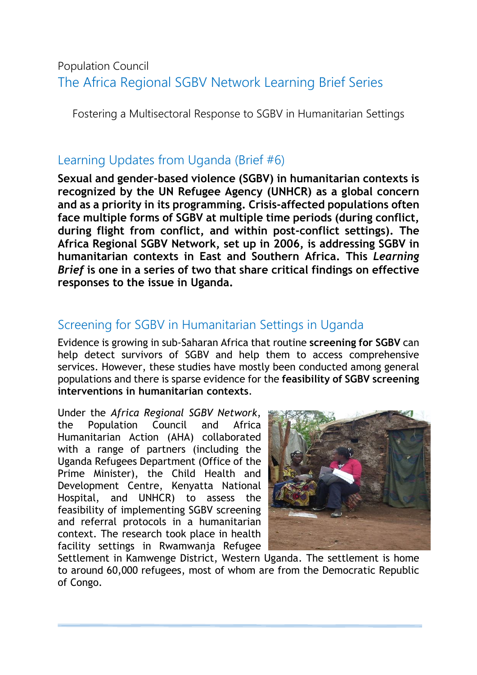# Population Council The Africa Regional SGBV Network Learning Brief Series

Fostering a Multisectoral Response to SGBV in Humanitarian Settings

## Learning Updates from Uganda (Brief #6)

**Sexual and gender-based violence (SGBV) in humanitarian contexts is recognized by the UN Refugee Agency (UNHCR) as a global concern and as a priority in its programming. Crisis-affected populations often face multiple forms of SGBV at multiple time periods (during conflict, during flight from conflict, and within post-conflict settings). The Africa Regional SGBV Network, set up in 2006, is addressing SGBV in humanitarian contexts in East and Southern Africa. This** *Learning Brief* **is one in a series of two that share critical findings on effective responses to the issue in Uganda.**

# Screening for SGBV in Humanitarian Settings in Uganda

Evidence is growing in sub-Saharan Africa that routine **screening for SGBV** can help detect survivors of SGBV and help them to access comprehensive services. However, these studies have mostly been conducted among general populations and there is sparse evidence for the **feasibility of SGBV screening interventions in humanitarian contexts**.

Under the *Africa Regional SGBV Network*, the Population Council and Africa Humanitarian Action (AHA) collaborated with a range of partners (including the Uganda Refugees Department (Office of the Prime Minister), the Child Health and Development Centre, Kenyatta National Hospital, and UNHCR) to assess the feasibility of implementing SGBV screening and referral protocols in a humanitarian context. The research took place in health facility settings in Rwamwanja Refugee



Settlement in Kamwenge District, Western Uganda. The settlement is home to around 60,000 refugees, most of whom are from the Democratic Republic of Congo.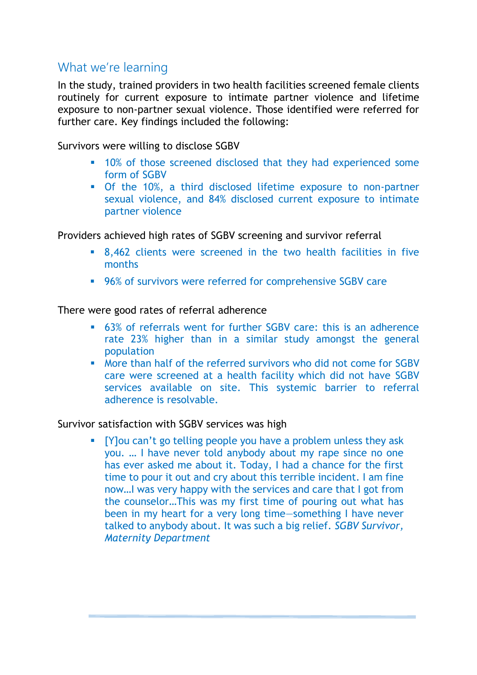### What we're learning

In the study, trained providers in two health facilities screened female clients routinely for current exposure to intimate partner violence and lifetime exposure to non-partner sexual violence. Those identified were referred for further care. Key findings included the following:

Survivors were willing to disclose SGBV

- **10%** of those screened disclosed that they had experienced some form of SGBV
- Of the 10%, a third disclosed lifetime exposure to non-partner sexual violence, and 84% disclosed current exposure to intimate partner violence

Providers achieved high rates of SGBV screening and survivor referral

- 8,462 clients were screened in the two health facilities in five months
- 96% of survivors were referred for comprehensive SGBV care

There were good rates of referral adherence

- 63% of referrals went for further SGBV care: this is an adherence rate 23% higher than in a similar study amongst the general population
- More than half of the referred survivors who did not come for SGBV care were screened at a health facility which did not have SGBV services available on site. This systemic barrier to referral adherence is resolvable.

#### Survivor satisfaction with SGBV services was high

 [Y]ou can't go telling people you have a problem unless they ask you. … I have never told anybody about my rape since no one has ever asked me about it. Today, I had a chance for the first time to pour it out and cry about this terrible incident. I am fine now…I was very happy with the services and care that I got from the counselor…This was my first time of pouring out what has been in my heart for a very long time—something I have never talked to anybody about. It was such a big relief. *SGBV Survivor, Maternity Department*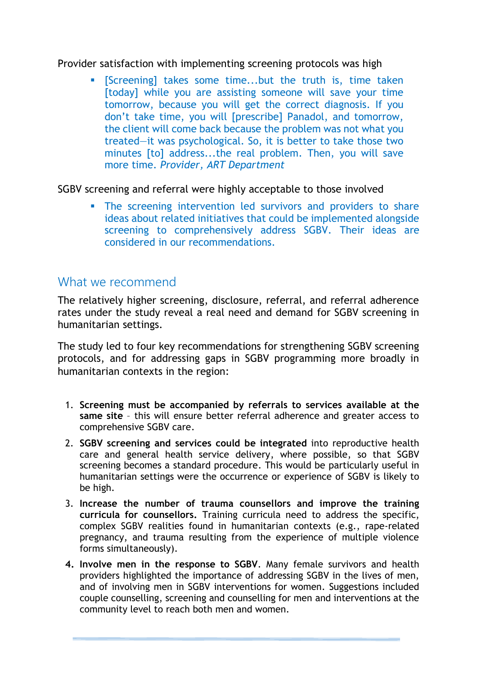#### Provider satisfaction with implementing screening protocols was high

 [Screening] takes some time...but the truth is, time taken [today] while you are assisting someone will save your time tomorrow, because you will get the correct diagnosis. If you don't take time, you will [prescribe] Panadol, and tomorrow, the client will come back because the problem was not what you treated—it was psychological. So, it is better to take those two minutes [to] address...the real problem. Then, you will save more time. *Provider, ART Department* 

SGBV screening and referral were highly acceptable to those involved

**The screening intervention led survivors and providers to share** ideas about related initiatives that could be implemented alongside screening to comprehensively address SGBV. Their ideas are considered in our recommendations.

### What we recommend

The relatively higher screening, disclosure, referral, and referral adherence rates under the study reveal a real need and demand for SGBV screening in humanitarian settings.

The study led to four key recommendations for strengthening SGBV screening protocols, and for addressing gaps in SGBV programming more broadly in humanitarian contexts in the region:

- 1. **Screening must be accompanied by referrals to services available at the same site** – this will ensure better referral adherence and greater access to comprehensive SGBV care.
- 2. **SGBV screening and services could be integrated** into reproductive health care and general health service delivery, where possible, so that SGBV screening becomes a standard procedure. This would be particularly useful in humanitarian settings were the occurrence or experience of SGBV is likely to be high.
- 3. **Increase the number of trauma counsellors and improve the training curricula for counsellors.** Training curricula need to address the specific, complex SGBV realities found in humanitarian contexts (e.g., rape-related pregnancy, and trauma resulting from the experience of multiple violence forms simultaneously).
- **4. Involve men in the response to SGBV**. Many female survivors and health providers highlighted the importance of addressing SGBV in the lives of men, and of involving men in SGBV interventions for women. Suggestions included couple counselling, screening and counselling for men and interventions at the community level to reach both men and women.